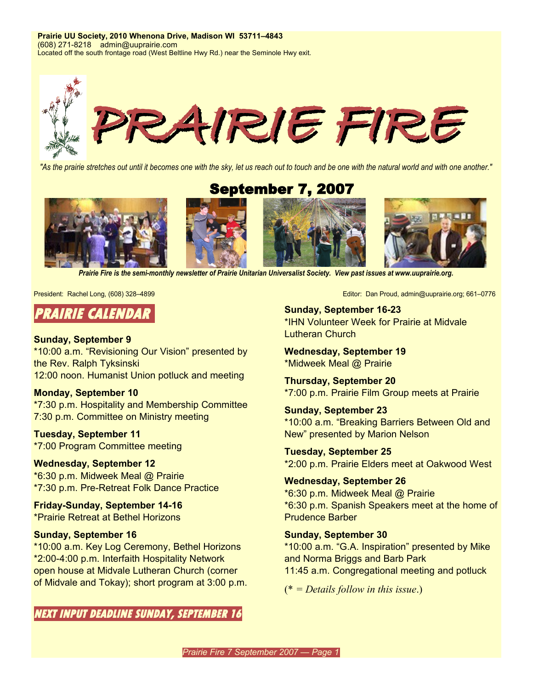**Prairie UU Society, 2010 Whenona Drive, Madison WI 53711–4843** (608) 271-8218 admin@uuprairie.com Located off the south frontage road (West Beltline Hwy Rd.) near the Seminole Hwy exit.



"As the prairie stretches out until it becomes one with the sky, let us reach out to touch and be one with the natural world and with one another."

September 7, 2007



*Prairie Fire is the semi-monthly newsletter of Prairie Unitarian Universalist Society. View past issues at [www.uuprairie.org](http://www.uuprairie.org/)[.](file:///C:/Documents and Settings/Office/My Documents/Prairie Fire newsletter/2007/2006/PF20060421/www.uuprairie.org)*

# **PRAIRIE CALENDAR**

### **Sunday, September 9**

\*10:00 a.m. "Revisioning Our Vision" presented by the Rev. Ralph Tyksinski 12:00 noon. Humanist Union potluck and meeting

# **Monday, September 10**

\*7:30 p.m. Hospitality and Membership Committee 7:30 p.m. Committee on Ministry meeting

**Tuesday, September 11** \*7:00 Program Committee meeting

**Wednesday, September 12** \*6:30 p.m. Midweek Meal @ Prairie

\*7:30 p.m. Pre-Retreat Folk Dance Practice **Friday-Sunday, September 14-16**

\*Prairie Retreat at Bethel Horizons

## **Sunday, September 16**

\*10:00 a.m. Key Log Ceremony, Bethel Horizons \*2:00-4:00 p.m. Interfaith Hospitality Network open house at Midvale Lutheran Church (corner of Midvale and Tokay); short program at 3:00 p.m.

**NEXT INPUT DEADLINE SUNDAY, SEPTEMBER 16**

President: Rachel Long, (608) 328–4899 **Editor: Dan Proud, admin@uuprairie.org**; 661–0776

**Sunday, September 16-23** \*IHN Volunteer Week for Prairie at Midvale Lutheran Church

**Wednesday, September 19** \*Midweek Meal @ Prairie

**Thursday, September 20** \*7:00 p.m. Prairie Film Group meets at Prairie

**Sunday, September 23** \*10:00 a.m. "Breaking Barriers Between Old and New" presented by Marion Nelson

**Tuesday, September 25** \*2:00 p.m. Prairie Elders meet at Oakwood West

**Wednesday, September 26** \*6:30 p.m. Midweek Meal @ Prairie \*6:30 p.m. Spanish Speakers meet at the home of Prudence Barber

#### **Sunday, September 30**

\*10:00 a.m. "G.A. Inspiration" presented by Mike and Norma Briggs and Barb Park 11:45 a.m. Congregational meeting and potluck

(\* *= Details follow in this issue*.)

*Prairie Fire 7 September 2007 — Page 1*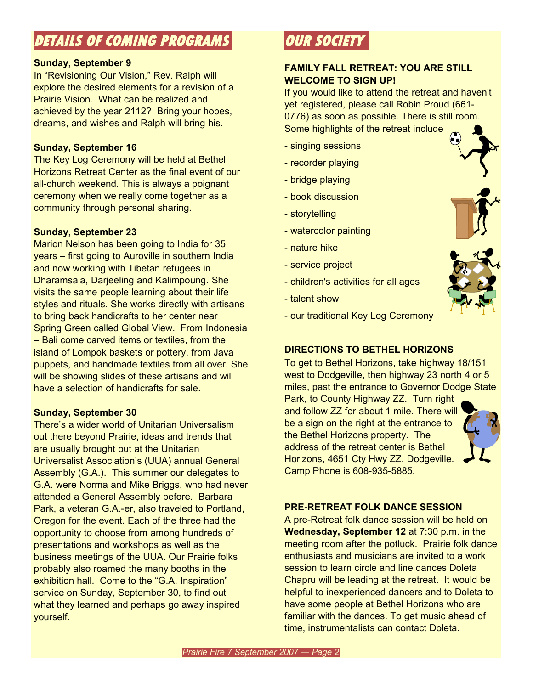# **DETAILS OF COMING PROGRAMS**

## **Sunday, September 9**

In "Revisioning Our Vision," Rev. Ralph will explore the desired elements for a revision of a Prairie Vision. What can be realized and achieved by the year 2112? Bring your hopes, dreams, and wishes and Ralph will bring his.

## **Sunday, September 16**

The Key Log Ceremony will be held at Bethel Horizons Retreat Center as the final event of our all-church weekend. This is always a poignant ceremony when we really come together as a community through personal sharing.

# **Sunday, September 23**

Marion Nelson has been going to India for 35 years – first going to Auroville in southern India and now working with Tibetan refugees in Dharamsala, Darjeeling and Kalimpoung. She visits the same people learning about their life styles and rituals. She works directly with artisans to bring back handicrafts to her center near Spring Green called Global View. From Indonesia – Bali come carved items or textiles, from the island of Lompok baskets or pottery, from Java puppets, and handmade textiles from all over. She will be showing slides of these artisans and will have a selection of handicrafts for sale.

# **Sunday, September 30**

There's a wider world of Unitarian Universalism out there beyond Prairie, ideas and trends that are usually brought out at the Unitarian Universalist Association's (UUA) annual General Assembly (G.A.). This summer our delegates to G.A. were Norma and Mike Briggs, who had never attended a General Assembly before. Barbara Park, a veteran G.A.-er, also traveled to Portland, Oregon for the event. Each of the three had the opportunity to choose from among hundreds of presentations and workshops as well as the business meetings of the UUA. Our Prairie folks probably also roamed the many booths in the exhibition hall. Come to the "G.A. Inspiration" service on Sunday, September 30, to find out what they learned and perhaps go away inspired yourself.

# **OUR SOCIETY**

# **FAMILY FALL RETREAT: YOU ARE STILL WELCOME TO SIGN UP!**

If you would like to attend the retreat and haven't yet registered, please call Robin Proud (661- 0776) as soon as possible. There is still room. Some highlights of the retreat include

- singing sessions
- recorder playing
- bridge playing
- book discussion
- storytelling
- watercolor painting
- nature hike
- service project
- children's activities for all ages
- talent show



- our traditional Key Log Ceremony

# **DIRECTIONS TO BETHEL HORIZONS**

To get to Bethel Horizons, take highway 18/151 west to Dodgeville, then highway 23 north 4 or 5 miles, past the entrance to Governor Dodge State

Park, to County Highway ZZ. Turn right and follow ZZ for about 1 mile. There will be a sign on the right at the entrance to the Bethel Horizons property. The address of the retreat center is Bethel Horizons, 4651 Cty Hwy ZZ, Dodgeville. Camp Phone is 608-935-5885.



## **PRE-RETREAT FOLK DANCE SESSION**

A pre-Retreat folk dance session will be held on **Wednesday, September 12** at 7:30 p.m. in the meeting room after the potluck. Prairie folk dance enthusiasts and musicians are invited to a work session to learn circle and line dances Doleta Chapru will be leading at the retreat. It would be helpful to inexperienced dancers and to Doleta to have some people at Bethel Horizons who are familiar with the dances. To get music ahead of time, instrumentalists can contact Doleta.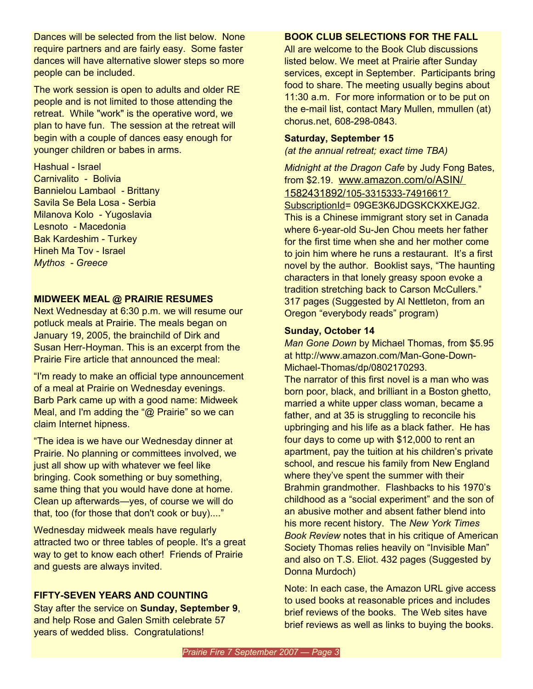Dances will be selected from the list below. None require partners and are fairly easy. Some faster dances will have alternative slower steps so more people can be included.

The work session is open to adults and older RE people and is not limited to those attending the retreat. While "work" is the operative word, we plan to have fun. The session at the retreat will begin with a couple of dances easy enough for younger children or babes in arms.

Hashual - Israel Carnivalito - Bolivia Bannielou Lambaol - Brittany Savila Se Bela Losa - Serbia Milanova Kolo - Yugoslavia Lesnoto - Macedonia Bak Kardeshim - Turkey Hineh Ma Tov - Israel *Mythos - Greece*

# **MIDWEEK MEAL @ PRAIRIE RESUMES**

Next Wednesday at 6:30 p.m. we will resume our potluck meals at Prairie. The meals began on January 19, 2005, the brainchild of Dirk and Susan Herr-Hoyman. This is an excerpt from the Prairie Fire article that announced the meal:

"I'm ready to make an official type announcement of a meal at Prairie on Wednesday evenings. Barb Park came up with a good name: Midweek Meal, and I'm adding the "@ Prairie" so we can claim Internet hipness.

"The idea is we have our Wednesday dinner at Prairie. No planning or committees involved, we just all show up with whatever we feel like bringing. Cook something or buy something, same thing that you would have done at home. Clean up afterwards—yes, of course we will do that, too (for those that don't cook or buy)...."

Wednesday midweek meals have regularly attracted two or three tables of people. It's a great way to get to know each other! Friends of Prairie and guests are always invited.

# **FIFTY-SEVEN YEARS AND COUNTING**

Stay after the service on **Sunday, September 9**, and help Rose and Galen Smith celebrate 57 years of wedded bliss. Congratulations!

## **BOOK CLUB SELECTIONS FOR THE FALL**

All are welcome to the Book Club discussions listed below. We meet at Prairie after Sunday services, except in September. Participants bring food to share. The meeting usually begins about 11:30 a.m. For more information or to be put on the e-mail list, contact Mary Mullen, mmullen (at) chorus.net, 608-298-0843.

### **Saturday, September 15**

*(at the annual retreat; exact time TBA)*

*Midnight at the Dragon Cafe* by Judy Fong Bates, from \$2.19. [www.amazon.com/o/ASIN/](http://www.amazon.com/o/ASIN/) 1[582431892/](http://www.amazon.com/o/ASIN/1582431892/)1[05-3315333-7491661?](http://www.amazon.com/o/ASIN/1582431892/105-3315333-7491661?SubscriptionId) [SubscriptionId=](http://www.amazon.com/o/ASIN/1582431892/105-3315333-7491661?SubscriptionId) [09GE3K6JDGSKCKXKEJG2](http://www.amazon.com/o/ASIN/1582431892/105-3315333-7491661?SubscriptionId=09GE3K6JDGSKCKXKEJG2)[.](http://www.amazon.com/o/ASIN/1582431892/105-3315333-7491661?SubscriptionId=09GE3K6JDGSKCKXKEJG2.) This is a Chinese immigrant story set in Canada where 6-year-old Su-Jen Chou meets her father for the first time when she and her mother come to join him where he runs a restaurant. It's a first novel by the author. Booklist says, "The haunting characters in that lonely greasy spoon evoke a tradition stretching back to Carson McCullers." 317 pages (Suggested by Al Nettleton, from an Oregon "everybody reads" program)

## **Sunday, October 14**

*Man Gone Down* by Michael Thomas, from \$5.95 at [http://www.amazon.com/Man-Gone-Down-](http://www.amazon.com/Man-Gone-Down-Michael-Thomas/dp/0802170293.)[Michael-Thomas/dp/0802170293.](http://www.amazon.com/Man-Gone-Down-Michael-Thomas/dp/0802170293.)

The narrator of this first novel is a man who was born poor, black, and brilliant in a Boston ghetto, married a white upper class woman, became a father, and at 35 is struggling to reconcile his upbringing and his life as a black father. He has four days to come up with \$12,000 to rent an apartment, pay the tuition at his children's private school, and rescue his family from New England where they've spent the summer with their Brahmin grandmother. Flashbacks to his 1970's childhood as a "social experiment" and the son of an abusive mother and absent father blend into his more recent history. The *New York Times Book Review* notes that in his critique of American Society Thomas relies heavily on "Invisible Man" and also on T.S. Eliot. 432 pages (Suggested by Donna Murdoch)

Note: In each case, the Amazon URL give access to used books at reasonable prices and includes brief reviews of the books. The Web sites have brief reviews as well as links to buying the books.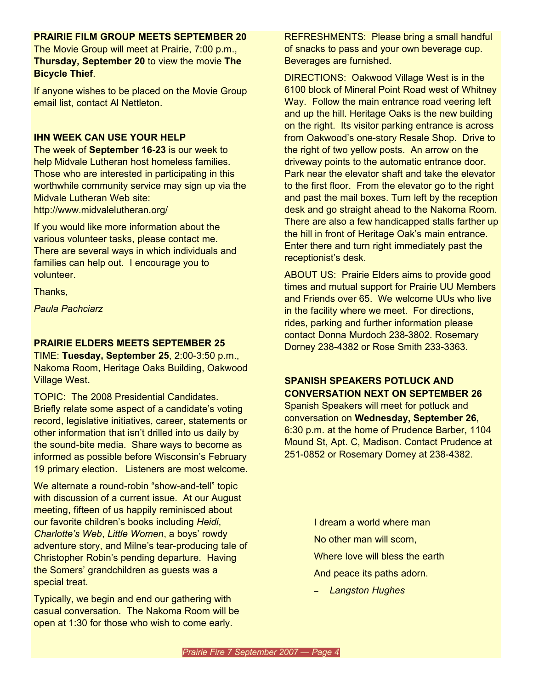## **PRAIRIE FILM GROUP MEETS SEPTEMBER 20**

The Movie Group will meet at Prairie, 7:00 p.m., **Thursday, September 20** to view the movie **The Bicycle Thief**.

If anyone wishes to be placed on the Movie Group email list, contact Al Nettleton.

### **IHN WEEK CAN USE YOUR HELP**

The week of **September 16-23** is our week to help Midvale Lutheran host homeless families. Those who are interested in participating in this worthwhile community service may sign up via the Midvale Lutheran Web site: http://www.midvalelutheran.org/

If you would like more information about the various volunteer tasks, please contact me. There are several ways in which individuals and families can help out. I encourage you to volunteer.

Thanks,

*Paula Pachciarz*

## **PRAIRIE ELDERS MEETS SEPTEMBER 25**

TIME: **Tuesday, September 25**, 2:00-3:50 p.m., Nakoma Room, Heritage Oaks Building, Oakwood Village West.

TOPIC: The 2008 Presidential Candidates. Briefly relate some aspect of a candidate's voting record, legislative initiatives, career, statements or other information that isn't drilled into us daily by the sound-bite media. Share ways to become as informed as possible before Wisconsin's February 19 primary election. Listeners are most welcome.

We alternate a round-robin "show-and-tell" topic with discussion of a current issue. At our August meeting, fifteen of us happily reminisced about our favorite children's books including *Heidi*, *Charlotte's Web*, *Little Women*, a boys' rowdy adventure story, and Milne's tear-producing tale of Christopher Robin's pending departure. Having the Somers' grandchildren as guests was a special treat.

Typically, we begin and end our gathering with casual conversation. The Nakoma Room will be open at 1:30 for those who wish to come early.

REFRESHMENTS: Please bring a small handful of snacks to pass and your own beverage cup. Beverages are furnished.

DIRECTIONS: Oakwood Village West is in the 6100 block of Mineral Point Road west of Whitney Way. Follow the main entrance road veering left and up the hill. Heritage Oaks is the new building on the right. Its visitor parking entrance is across from Oakwood's one-story Resale Shop. Drive to the right of two yellow posts. An arrow on the driveway points to the automatic entrance door. Park near the elevator shaft and take the elevator to the first floor. From the elevator go to the right and past the mail boxes. Turn left by the reception desk and go straight ahead to the Nakoma Room. There are also a few handicapped stalls farther up the hill in front of Heritage Oak's main entrance. Enter there and turn right immediately past the receptionist's desk.

ABOUT US: Prairie Elders aims to provide good times and mutual support for Prairie UU Members and Friends over 65. We welcome UUs who live in the facility where we meet. For directions, rides, parking and further information please contact Donna Murdoch 238-3802. Rosemary Dorney 238-4382 or Rose Smith 233-3363.

# **SPANISH SPEAKERS POTLUCK AND CONVERSATION NEXT ON SEPTEMBER 26**

Spanish Speakers will meet for potluck and conversation on **Wednesday, September 26**, 6:30 p.m. at the home of Prudence Barber, 1104 Mound St, Apt. C, Madison. Contact Prudence at 251-0852 or Rosemary Dorney at 238-4382.

> I dream a world where man No other man will scorn, Where love will bless the earth And peace its paths adorn.

– *Langston Hughes*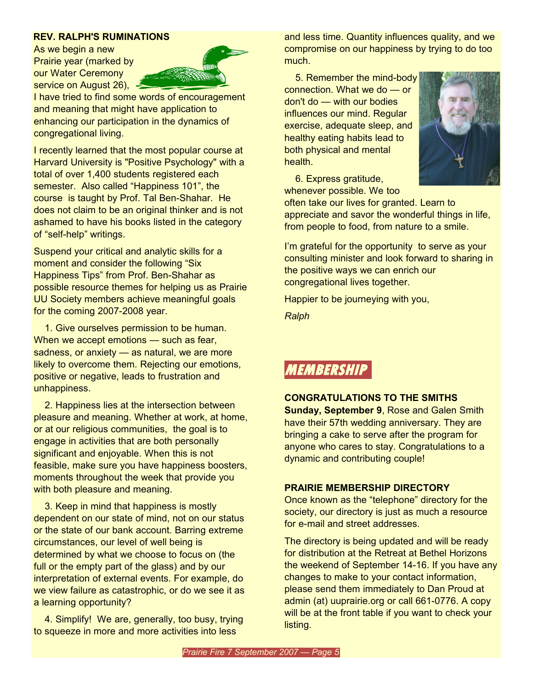#### **REV. RALPH'S RUMINATIONS**

As we begin a new Prairie year (marked by our Water Ceremony service on August 26),



I have tried to find some words of encouragement and meaning that might have application to enhancing our participation in the dynamics of congregational living.

I recently learned that the most popular course at Harvard University is "Positive Psychology" with a total of over 1,400 students registered each semester. Also called "Happiness 101", the course is taught by Prof. Tal Ben-Shahar. He does not claim to be an original thinker and is not ashamed to have his books listed in the category of "self-help" writings.

Suspend your critical and analytic skills for a moment and consider the following "Six Happiness Tips" from Prof. Ben-Shahar as possible resource themes for helping us as Prairie UU Society members achieve meaningful goals for the coming 2007-2008 year.

1. Give ourselves permission to be human. When we accept emotions — such as fear, sadness, or anxiety — as natural, we are more likely to overcome them. Rejecting our emotions, positive or negative, leads to frustration and unhappiness.

2. Happiness lies at the intersection between pleasure and meaning. Whether at work, at home, or at our religious communities, the goal is to engage in activities that are both personally significant and enjoyable. When this is not feasible, make sure you have happiness boosters, moments throughout the week that provide you with both pleasure and meaning.

3. Keep in mind that happiness is mostly dependent on our state of mind, not on our status or the state of our bank account. Barring extreme circumstances, our level of well being is determined by what we choose to focus on (the full or the empty part of the glass) and by our interpretation of external events. For example, do we view failure as catastrophic, or do we see it as a learning opportunity?

4. Simplify! We are, generally, too busy, trying to squeeze in more and more activities into less

and less time. Quantity influences quality, and we compromise on our happiness by trying to do too much.

5. Remember the mind-body connection. What we do — or don't do — with our bodies influences our mind. Regular exercise, adequate sleep, and healthy eating habits lead to both physical and mental health.



6. Express gratitude, whenever possible. We too

often take our lives for granted. Learn to appreciate and savor the wonderful things in life, from people to food, from nature to a smile.

I'm grateful for the opportunity to serve as your consulting minister and look forward to sharing in the positive ways we can enrich our congregational lives together.

Happier to be journeying with you,

*Ralph*

# **MEMBERSHIP**

#### **CONGRATULATIONS TO THE SMITHS**

**Sunday, September 9**, Rose and Galen Smith have their 57th wedding anniversary. They are bringing a cake to serve after the program for anyone who cares to stay. Congratulations to a dynamic and contributing couple!

## **PRAIRIE MEMBERSHIP DIRECTORY**

Once known as the "telephone" directory for the society, our directory is just as much a resource for e-mail and street addresses.

The directory is being updated and will be ready for distribution at the Retreat at Bethel Horizons the weekend of September 14-16. If you have any changes to make to your contact information, please send them immediately to Dan Proud at admin (at) uuprairie.org or call 661-0776. A copy will be at the front table if you want to check your listing.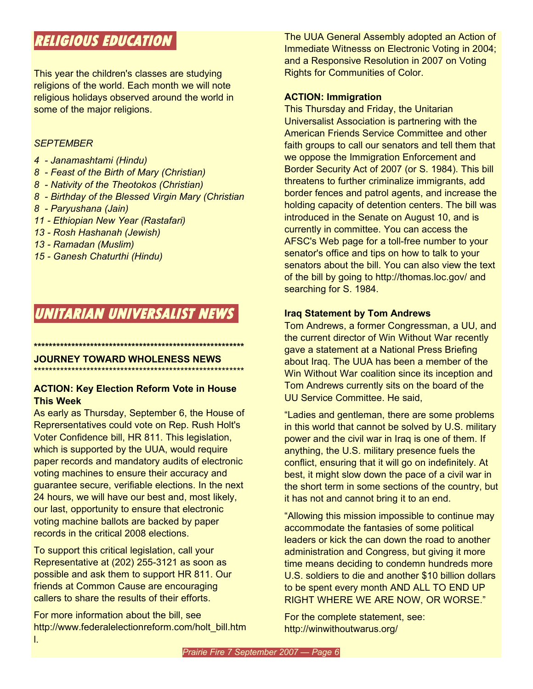# **RELIGIOUS EDUCATION**

This year the children's classes are studying religions of the world. Each month we will note religious holidays observed around the world in some of the major religions.

### *SEPTEMBER*

- *4 - Janamashtami (Hindu)*
- *8 - Feast of the Birth of Mary (Christian)*
- *8 - Nativity of the Theotokos (Christian)*
- *8 - Birthday of the Blessed Virgin Mary (Christian*
- *8 - Paryushana (Jain)*
- *11 - Ethiopian New Year (Rastafari)*
- *13 - Rosh Hashanah (Jewish)*
- *13 - Ramadan (Muslim)*
- *15 - Ganesh Chaturthi (Hindu)*

# **UNITARIAN UNIVERSALIST NEWS**

# **JOURNEY TOWARD WHOLENESS NEWS**

\*\*\*\*\*\*\*\*\*\*\*\*\*\*\*\*\*\*\*\*\*\*\*\*\*\*\*\*\*\*\*\*\*\*\*\*\*\*\*\*\*\*\*\*\*\*\*\*\*\*\*\*\*\*\*\*

**\*\*\*\*\*\*\*\*\*\*\*\*\*\*\*\*\*\*\*\*\*\*\*\*\*\*\*\*\*\*\*\*\*\*\*\*\*\*\*\*\*\*\*\*\*\*\*\*\*\*\*\*\*\*\*\***

## **ACTION: Key Election Reform Vote in House This Week**

As early as Thursday, September 6, the House of Reprersentatives could vote on Rep. Rush Holt's Voter Confidence bill, HR 811. This legislation, which is supported by the UUA, would require paper records and mandatory audits of electronic voting machines to ensure their accuracy and guarantee secure, verifiable elections. In the next 24 hours, we will have our best and, most likely, our last, opportunity to ensure that electronic voting machine ballots are backed by paper records in the critical 2008 elections.

To support this critical legislation, call your Representative at (202) 255-3121 as soon as possible and ask them to support HR 811. Our friends at Common Cause are encouraging callers to share the results of their efforts.

For more information about the bill, see http://www.federalelectionreform.com/holt\_bill.htm l.

The UUA General Assembly adopted an Action of Immediate Witnesss on Electronic Voting in 2004; and a Responsive Resolution in 2007 on Voting Rights for Communities of Color.

## **ACTION: Immigration**

This Thursday and Friday, the Unitarian Universalist Association is partnering with the American Friends Service Committee and other faith groups to call our senators and tell them that we oppose the Immigration Enforcement and Border Security Act of 2007 (or S. 1984). This bill threatens to further criminalize immigrants, add border fences and patrol agents, and increase the holding capacity of detention centers. The bill was introduced in the Senate on August 10, and is currently in committee. You can access the AFSC's Web page for a toll-free number to your senator's office and tips on how to talk to your senators about the bill. You can also view the text of the bill by going to http://thomas.loc.gov/ and searching for S. 1984.

## **Iraq Statement by Tom Andrews**

Tom Andrews, a former Congressman, a UU, and the current director of Win Without War recently gave a statement at a National Press Briefing about Iraq. The UUA has been a member of the Win Without War coalition since its inception and Tom Andrews currently sits on the board of the UU Service Committee. He said,

"Ladies and gentleman, there are some problems in this world that cannot be solved by U.S. military power and the civil war in Iraq is one of them. If anything, the U.S. military presence fuels the conflict, ensuring that it will go on indefinitely. At best, it might slow down the pace of a civil war in the short term in some sections of the country, but it has not and cannot bring it to an end.

"Allowing this mission impossible to continue may accommodate the fantasies of some political leaders or kick the can down the road to another administration and Congress, but giving it more time means deciding to condemn hundreds more U.S. soldiers to die and another \$10 billion dollars to be spent every month AND ALL TO END UP RIGHT WHERE WE ARE NOW, OR WORSE."

For the complete statement, see: http://winwithoutwarus.org/